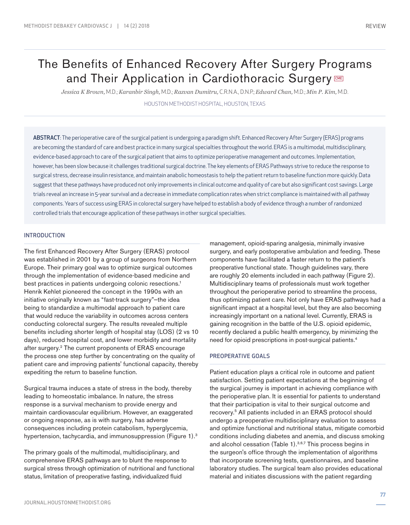# The Benefits of Enhanced Recovery After Surgery Programs and Their Application in Cardiothoracic Surgery

*Jessica K Brown,* M.D.; *Karanbir Singh,* M.D.; *Razvan Dumitru,* C.R.N.A., D.N.P.; *Edward Chan,* M.D.; *Min P. Kim,* M.D.

HOUSTON METHODIST HOSPITAL, HOUSTON, TEXAS

ABSTRACT: The perioperative care of the surgical patient is undergoing a paradigm shift. Enhanced Recovery After Surgery (ERAS) programs are becoming the standard of care and best practice in many surgical specialties throughout the world. ERAS is a multimodal, multidisciplinary, evidence-based approach to care of the surgical patient that aims to optimize perioperative management and outcomes. Implementation, however, has been slow because it challenges traditional surgical doctrine. The key elements of ERAS Pathways strive to reduce the response to surgical stress, decrease insulin resistance, and maintain anabolic homeostasis to help the patient return to baseline function more quickly. Data suggest that these pathways have produced not only improvements in clinical outcome and quality of care but also significant cost savings. Large trials reveal an increase in 5-year survival and a decrease in immediate complication rates when strict compliance is maintained with all pathway components. Years of success using ERAS in colorectal surgery have helped to establish a body of evidence through a number of randomized controlled trials that encourage application of these pathways in other surgical specialties.

# INTRODUCTION

The first Enhanced Recovery After Surgery (ERAS) protocol was established in 2001 by a group of surgeons from Northern Europe. Their primary goal was to optimize surgical outcomes through the implementation of evidence-based medicine and best practices in patients undergoing colonic resections.<sup>1</sup> Henrik Kehlet pioneered the concept in the 1990s with an initiative originally known as "fast-track surgery"—the idea being to standardize a multimodal approach to patient care that would reduce the variability in outcomes across centers conducting colorectal surgery. The results revealed multiple benefits including shorter length of hospital stay (LOS) (2 vs 10 days), reduced hospital cost, and lower morbidity and mortality after surgery.2 The current proponents of ERAS encourage the process one step further by concentrating on the quality of patient care and improving patients' functional capacity, thereby expediting the return to baseline function.

Surgical trauma induces a state of stress in the body, thereby leading to homeostatic imbalance. In nature, the stress response is a survival mechanism to provide energy and maintain cardiovascular equilibrium. However, an exaggerated or ongoing response, as is with surgery, has adverse consequences including protein catabolism, hyperglycemia, hypertension, tachycardia, and immunosuppression (Figure 1).<sup>3</sup>

The primary goals of the multimodal, multidisciplinary, and comprehensive ERAS pathways are to blunt the response to surgical stress through optimization of nutritional and functional status, limitation of preoperative fasting, individualized fluid

management, opioid-sparing analgesia, minimally invasive surgery, and early postoperative ambulation and feeding. These components have facilitated a faster return to the patient's preoperative functional state. Though guidelines vary, there are roughly 20 elements included in each pathway (Figure 2). Multidisciplinary teams of professionals must work together throughout the perioperative period to streamline the process, thus optimizing patient care. Not only have ERAS pathways had a significant impact at a hospital level, but they are also becoming increasingly important on a national level. Currently, ERAS is gaining recognition in the battle of the U.S. opioid epidemic, recently declared a public health emergency, by minimizing the need for opioid prescriptions in post-surgical patients.4

## PREOPERATIVE GOALS

Patient education plays a critical role in outcome and patient satisfaction. Setting patient expectations at the beginning of the surgical journey is important in achieving compliance with the perioperative plan. It is essential for patients to understand that their participation is vital to their surgical outcome and recovery.5 All patients included in an ERAS protocol should undergo a preoperative multidisciplinary evaluation to assess and optimize functional and nutritional status, mitigate comorbid conditions including diabetes and anemia, and discuss smoking and alcohol cessation (Table 1).<sup>3,6,7</sup> This process begins in the surgeon's office through the implementation of algorithms that incorporate screening tests, questionnaires, and baseline laboratory studies. The surgical team also provides educational material and initiates discussions with the patient regarding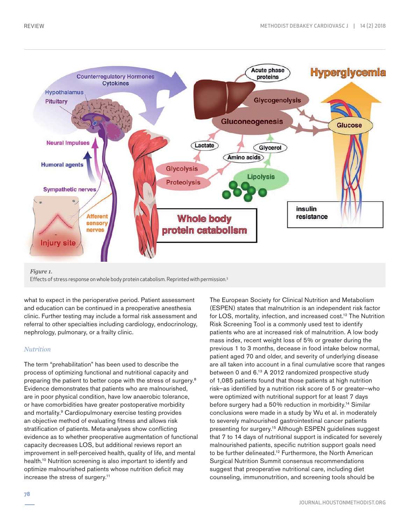

#### *Figure 1.*

Effects of stress response on whole body protein catabolism. Reprinted with permission.3

what to expect in the perioperative period. Patient assessment and education can be continued in a preoperative anesthesia clinic. Further testing may include a formal risk assessment and referral to other specialties including cardiology, endocrinology, nephrology, pulmonary, or a frailty clinic.

## *Nutrition*

The term "prehabilitation" has been used to describe the process of optimizing functional and nutritional capacity and preparing the patient to better cope with the stress of surgery.8 Evidence demonstrates that patients who are malnourished, are in poor physical condition, have low anaerobic tolerance, or have comorbidities have greater postoperative morbidity and mortality.<sup>9</sup> Cardiopulmonary exercise testing provides an objective method of evaluating fitness and allows risk stratification of patients. Meta-analyses show conflicting evidence as to whether preoperative augmentation of functional capacity decreases LOS, but additional reviews report an improvement in self-perceived health, quality of life, and mental health.<sup>10</sup> Nutrition screening is also important to identify and optimize malnourished patients whose nutrition deficit may increase the stress of surgery.11

(ESPEN) states that malnutrition is an independent risk factor for LOS, mortality, infection, and increased cost.<sup>12</sup> The Nutrition Risk Screening Tool is a commonly used test to identify patients who are at increased risk of malnutrition. A low body mass index, recent weight loss of 5% or greater during the previous 1 to 3 months, decease in food intake below normal, patient aged 70 and older, and severity of underlying disease are all taken into account in a final cumulative score that ranges between 0 and 6.13 A 2012 randomized prospective study of 1,085 patients found that those patients at high nutrition risk—as identified by a nutrition risk score of 5 or greater—who were optimized with nutritional support for at least 7 days before surgery had a 50% reduction in morbidity.14 Similar conclusions were made in a study by Wu et al. in moderately to severely malnourished gastrointestinal cancer patients presenting for surgery.15 Although ESPEN guidelines suggest that 7 to 14 days of nutritional support is indicated for severely malnourished patients, specific nutrition support goals need to be further delineated.<sup>12</sup> Furthermore, the North American Surgical Nutrition Summit consensus recommendations suggest that preoperative nutritional care, including diet counseling, immunonutrition, and screening tools should be

The European Society for Clinical Nutrition and Metabolism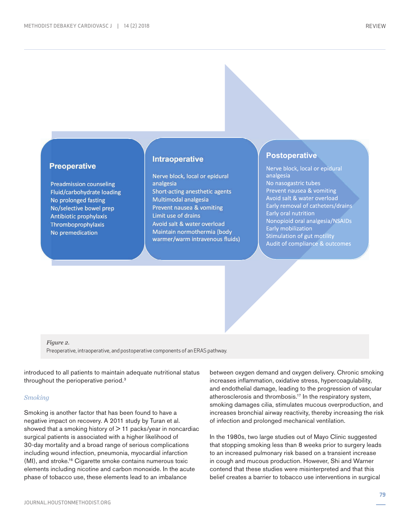# **Preoperative**

**Preadmission counseling** Fluid/carbohydrate loading No prolonged fasting No/selective bowel prep **Antibiotic prophylaxis** Thromboprophylaxis No premedication

# **Intraoperative**

Nerve block, local or epidural analgesia Short-acting anesthetic agents Multimodal analgesia Prevent nausea & vomiting Limit use of drains Avoid salt & water overload Maintain normothermia (body warmer/warm intravenous fluids)

# **Postoperative**

Nerve block, local or epidural analgesia No nasogastric tubes Prevent nausea & vomiting Avoid salt & water overload Early removal of catheters/drains Early oral nutrition Nonopioid oral analgesia/NSAIDs Early mobilization Stimulation of gut motility Audit of compliance & outcomes

*Figure 2.* 

Preoperative, intraoperative, and postoperative components of an ERAS pathway.

introduced to all patients to maintain adequate nutritional status throughout the perioperative period.3

#### *Smoking*

Smoking is another factor that has been found to have a negative impact on recovery. A 2011 study by Turan et al. showed that a smoking history of  $> 11$  packs/year in noncardiac surgical patients is associated with a higher likelihood of 30-day mortality and a broad range of serious complications including wound infection, pneumonia, myocardial infarction (MI), and stroke.16 Cigarette smoke contains numerous toxic elements including nicotine and carbon monoxide. In the acute phase of tobacco use, these elements lead to an imbalance

between oxygen demand and oxygen delivery. Chronic smoking increases inflammation, oxidative stress, hypercoagulability, and endothelial damage, leading to the progression of vascular atherosclerosis and thrombosis.17 In the respiratory system, smoking damages cilia, stimulates mucous overproduction, and increases bronchial airway reactivity, thereby increasing the risk of infection and prolonged mechanical ventilation.

In the 1980s, two large studies out of Mayo Clinic suggested that stopping smoking less than 8 weeks prior to surgery leads to an increased pulmonary risk based on a transient increase in cough and mucous production. However, Shi and Warner contend that these studies were misinterpreted and that this belief creates a barrier to tobacco use interventions in surgical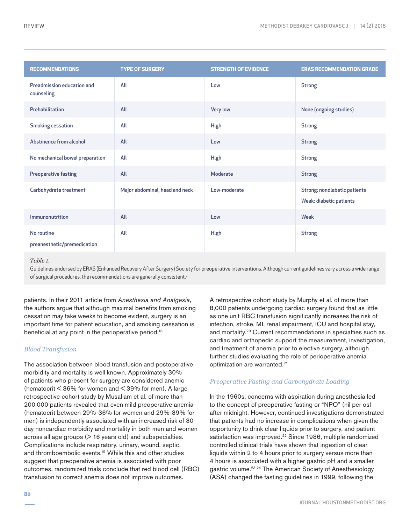| <b>RECOMMENDATIONS</b>                    | <b>TYPE OF SURGERY</b>         | <b>STRENGTH OF EVIDENCE</b> | <b>ERAS RECOMMENDATION GRADE</b>                               |
|-------------------------------------------|--------------------------------|-----------------------------|----------------------------------------------------------------|
| Preadmission education and<br>counseling  | All                            | Low                         | <b>Strong</b>                                                  |
| Prehabilitation                           | All                            | <b>Very low</b>             | None (ongoing studies)                                         |
| <b>Smoking cessation</b>                  | All                            | <b>High</b>                 | <b>Strong</b>                                                  |
| Abstinence from alcohol                   | All                            | Low                         | <b>Strong</b>                                                  |
| No mechanical bowel preparation           | All                            | <b>High</b>                 | <b>Strong</b>                                                  |
| Preoperative fasting                      | All                            | Moderate                    | <b>Strong</b>                                                  |
| Carbohydrate treatment                    | Major abdominal, head and neck | Low-moderate                | Strong: nondiabetic patients<br><b>Weak: diabetic patients</b> |
| Immunonutrition                           | All                            | Low                         | Weak                                                           |
| No routine<br>preanesthetic/premedication | All                            | High                        | <b>Strong</b>                                                  |

#### *Table 1.*

Guidelines endorsed by ERAS (Enhanced Recovery After Surgery) Society for preoperative interventions. Although current guidelines vary across a wide range of surgical procedures, the recommendations are generally consistent.<sup>7</sup>

patients. In their 2011 article from *Anesthesia and Analgesia,* the authors argue that although maximal benefits from smoking cessation may take weeks to become evident, surgery is an important time for patient education, and smoking cessation is beneficial at any point in the perioperative period.<sup>18</sup>

# *Blood Transfusion*

The association between blood transfusion and postoperative morbidity and mortality is well known. Approximately 30% of patients who present for surgery are considered anemic (hematocrit  $\leq$  36% for women and  $\leq$  39% for men). A large retrospective cohort study by Musallam et al. of more than 200,000 patients revealed that even mild preoperative anemia (hematocrit between 29%-36% for women and 29%-39% for men) is independently associated with an increased risk of 30 day noncardiac morbidity and mortality in both men and women across all age groups  $($  > 16 years old) and subspecialties. Complications include respiratory, urinary, wound, septic, and thromboembolic events.19 While this and other studies suggest that preoperative anemia is associated with poor outcomes, randomized trials conclude that red blood cell (RBC) transfusion to correct anemia does not improve outcomes.

A retrospective cohort study by Murphy et al. of more than 8,000 patients undergoing cardiac surgery found that as little as one unit RBC transfusion significantly increases the risk of infection, stroke, MI, renal impairment, ICU and hospital stay, and mortality.20 Current recommendations in specialties such as cardiac and orthopedic support the measurement, investigation, and treatment of anemia prior to elective surgery, although further studies evaluating the role of perioperative anemia optimization are warranted.<sup>21</sup>

# *Preoperative Fasting and Carbohydrate Loading*

In the 1960s, concerns with aspiration during anesthesia led to the concept of preoperative fasting or "NPO" (nil per os) after midnight. However, continued investigations demonstrated that patients had no increase in complications when given the opportunity to drink clear liquids prior to surgery, and patient satisfaction was improved.<sup>22</sup> Since 1986, multiple randomized controlled clinical trials have shown that ingestion of clear liquids within 2 to 4 hours prior to surgery versus more than 4 hours is associated with a higher gastric pH and a smaller gastric volume.<sup>23,24</sup> The American Society of Anesthesiology (ASA) changed the fasting guidelines in 1999, following the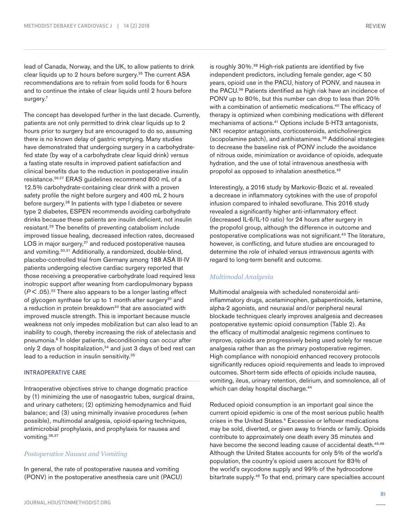lead of Canada, Norway, and the UK, to allow patients to drink clear liquids up to 2 hours before surgery.25 The current ASA recommendations are to refrain from solid foods for 6 hours and to continue the intake of clear liquids until 2 hours before surgery.<sup>7</sup>

The concept has developed further in the last decade. Currently, patients are not only permitted to drink clear liquids up to 2 hours prior to surgery but are encouraged to do so, assuming there is no known delay of gastric emptying. Many studies have demonstrated that undergoing surgery in a carbohydratefed state (by way of a carbohydrate clear liquid drink) versus a fasting state results in improved patient satisfaction and clinical benefits due to the reduction in postoperative insulin resistance.26,27 ERAS guidelines recommend 800 mL of a 12.5% carbohydrate-containing clear drink with a proven safety profile the night before surgery and 400 mL 2 hours before surgery.<sup>28</sup> In patients with type I diabetes or severe type 2 diabetes, ESPEN recommends avoiding carbohydrate drinks because these patients are insulin deficient, not insulin resistant.29 The benefits of preventing catabolism include improved tissue healing, decreased infection rates, decreased LOS in major surgery,<sup>27</sup> and reduced postoperative nausea and vomiting.<sup>30,31</sup> Additionally, a randomized, double-blind, placebo-controlled trial from Germany among 188 ASA III-IV patients undergoing elective cardiac surgery reported that those receiving a preoperative carbohydrate load required less inotropic support after weaning from cardiopulmonary bypass  $(P<.05)$ .<sup>32</sup> There also appears to be a longer lasting effect of glycogen synthase for up to 1 month after surgery<sup>30</sup> and a reduction in protein breakdown<sup>33</sup> that are associated with improved muscle strength. This is important because muscle weakness not only impedes mobilization but can also lead to an inability to cough, thereby increasing the risk of atelectasis and pneumonia.6 In older patients, deconditioning can occur after only 2 days of hospitalization,<sup>34</sup> and just 3 days of bed rest can lead to a reduction in insulin sensitivity.<sup>35</sup>

# INTRAOPERATIVE CARE

Intraoperative objectives strive to change dogmatic practice by (1) minimizing the use of nasogastric tubes, surgical drains, and urinary catheters; (2) optimizing hemodynamics and fluid balance; and (3) using minimally invasive procedures (when possible), multimodal analgesia, opioid-sparing techniques, antimicrobial prophylaxis, and prophylaxis for nausea and vomiting.36,37

# *Postoperative Nausea and Vomiting*

In general, the rate of postoperative nausea and vomiting (PONV) in the postoperative anesthesia care unit (PACU) is roughly 30%.<sup>38</sup> High-risk patients are identified by five independent predictors, including female gender, age < 50 years, opioid use in the PACU, history of PONV, and nausea in the PACU.39 Patients identified as high risk have an incidence of PONV up to 80%, but this number can drop to less than 20% with a combination of antiemetic medications.<sup>40</sup> The efficacy of therapy is optimized when combining medications with different mechanisms of actions.41 Options include 5-HT3 antagonists, NK1 receptor antagonists, corticosteroids, anticholinergics (scopolamine patch), and antihistamines.39 Additional strategies to decrease the baseline risk of PONV include the avoidance of nitrous oxide, minimization or avoidance of opioids, adequate hydration, and the use of total intravenous anesthesia with propofol as opposed to inhalation anesthetics.<sup>42</sup>

Interestingly, a 2016 study by Markovic-Bozic et al. revealed a decrease in inflammatory cytokines with the use of propofol infusion compared to inhaled sevoflurane. This 2016 study revealed a significantly higher anti-inflammatory effect (decreased IL-6/IL-10 ratio) for 24 hours after surgery in the propofol group, although the difference in outcome and postoperative complications was not significant.<sup>43</sup> The literature, however, is conflicting, and future studies are encouraged to determine the role of inhaled versus intravenous agents with regard to long-term benefit and outcome.

## *Multimodal Analgesia*

Multimodal analgesia with scheduled nonsteroidal antiinflammatory drugs, acetaminophen, gabapentinoids, ketamine, alpha-2 agonists, and neuraxial and/or peripheral neural blockade techniques clearly improves analgesia and decreases postoperative systemic opioid consumption (Table 2). As the efficacy of multimodal analgesic regimens continues to improve, opioids are progressively being used solely for rescue analgesia rather than as the primary postoperative regimen. High compliance with nonopioid enhanced recovery protocols significantly reduces opioid requirements and leads to improved outcomes. Short-term side effects of opioids include nausea, vomiting, ileus, urinary retention, delirium, and somnolence, all of which can delay hospital discharge.<sup>44</sup>

Reduced opioid consumption is an important goal since the current opioid epidemic is one of the most serious public health crises in the United States.<sup>4</sup> Excessive or leftover medications may be sold, diverted, or given away to friends or family. Opioids contribute to approximately one death every 35 minutes and have become the second leading cause of accidental death.<sup>45,46</sup> Although the United States accounts for only 5% of the world's population, the country's opioid users account for 83% of the world's oxycodone supply and 99% of the hydrocodone bitartrate supply.46 To that end, primary care specialties account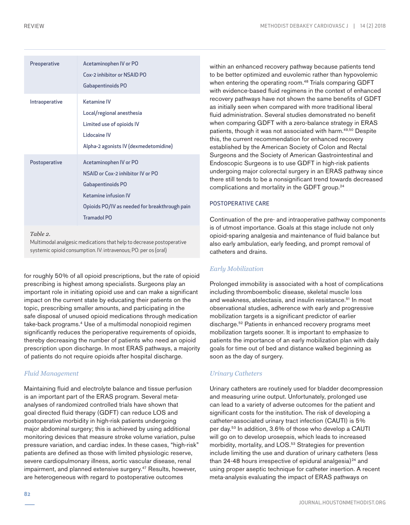| Preoperative   | Acetaminophen IV or PO<br>Cox-2 inhibitor or NSAID PO<br>Gabapentinoids PO                                                                                               |
|----------------|--------------------------------------------------------------------------------------------------------------------------------------------------------------------------|
| Intraoperative | Ketamine IV<br>Local/regional anesthesia<br>Limited use of opioids IV<br>Lidocaine IV<br>Alpha-2 agonists IV (dexmedetomidine)                                           |
| Postoperative  | Acetaminophen IV or PO<br>NSAID or Cox-2 inhibitor IV or PO<br>Gabapentinoids PO<br>Ketamine infusion IV<br>Opioids PO/IV as needed for breakthrough pain<br>Tramadol PO |

*Table 2.* 

Multimodal analgesic medications that help to decrease postoperative systemic opioid consumption. IV: intravenous; PO: per os (oral)

for roughly 50% of all opioid prescriptions, but the rate of opioid prescribing is highest among specialists. Surgeons play an important role in initiating opioid use and can make a significant impact on the current state by educating their patients on the topic, prescribing smaller amounts, and participating in the safe disposal of unused opioid medications through medication take-back programs.4 Use of a multimodal nonopioid regimen significantly reduces the perioperative requirements of opioids, thereby decreasing the number of patients who need an opioid prescription upon discharge. In most ERAS pathways, a majority of patients do not require opioids after hospital discharge.

# *Fluid Management*

Maintaining fluid and electrolyte balance and tissue perfusion is an important part of the ERAS program. Several metaanalyses of randomized controlled trials have shown that goal directed fluid therapy (GDFT) can reduce LOS and postoperative morbidity in high-risk patients undergoing major abdominal surgery; this is achieved by using additional monitoring devices that measure stroke volume variation, pulse pressure variation, and cardiac index. In these cases, "high-risk" patients are defined as those with limited physiologic reserve, severe cardiopulmonary illness, aortic vascular disease, renal impairment, and planned extensive surgery.<sup>47</sup> Results, however, are heterogeneous with regard to postoperative outcomes

within an enhanced recovery pathway because patients tend to be better optimized and euvolemic rather than hypovolemic when entering the operating room.<sup>48</sup> Trials comparing GDFT with evidence-based fluid regimens in the context of enhanced recovery pathways have not shown the same benefits of GDFT as initially seen when compared with more traditional liberal fluid administration. Several studies demonstrated no benefit when comparing GDFT with a zero-balance strategy in ERAS patients, though it was not associated with harm.<sup>49,50</sup> Despite this, the current recommendation for enhanced recovery established by the American Society of Colon and Rectal Surgeons and the Society of American Gastrointestinal and Endoscopic Surgeons is to use GDFT in high-risk patients undergoing major colorectal surgery in an ERAS pathway since there still tends to be a nonsignificant trend towards decreased complications and mortality in the GDFT group.24

# POSTOPERATIVE CARE

Continuation of the pre- and intraoperative pathway components is of utmost importance. Goals at this stage include not only opioid-sparing analgesia and maintenance of fluid balance but also early ambulation, early feeding, and prompt removal of catheters and drains.

# *Early Mobilization*

Prolonged immobility is associated with a host of complications including thromboembolic disease, skeletal muscle loss and weakness, atelectasis, and insulin resistance.<sup>51</sup> In most observational studies, adherence with early and progressive mobilization targets is a significant predictor of earlier discharge.52 Patients in enhanced recovery programs meet mobilization targets sooner. It is important to emphasize to patients the importance of an early mobilization plan with daily goals for time out of bed and distance walked beginning as soon as the day of surgery.

# *Urinary Catheters*

Urinary catheters are routinely used for bladder decompression and measuring urine output. Unfortunately, prolonged use can lead to a variety of adverse outcomes for the patient and significant costs for the institution. The risk of developing a catheter-associated urinary tract infection (CAUTI) is 5% per day.53 In addition, 3.6% of those who develop a CAUTI will go on to develop urosepsis, which leads to increased morbidity, mortality, and LOS.<sup>53</sup> Strategies for prevention include limiting the use and duration of urinary catheters (less than 24-48 hours irrespective of epidural analgesia) $24$  and using proper aseptic technique for catheter insertion. A recent meta-analysis evaluating the impact of ERAS pathways on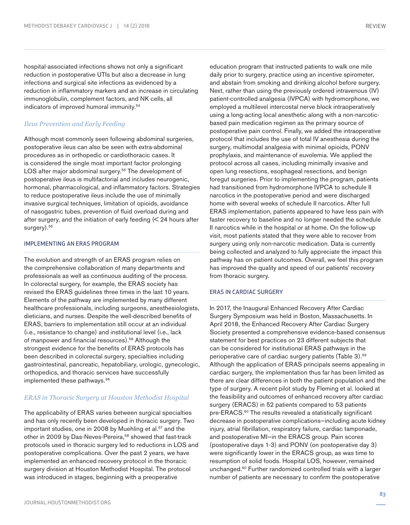hospital-associated infections shows not only a significant reduction in postoperative UTIs but also a decrease in lung infections and surgical site infections as evidenced by a reduction in inflammatory markers and an increase in circulating immunoglobulin, complement factors, and NK cells, all indicators of improved humoral immunity.54

# *Ileus Prevention and Early Feeding*

Although most commonly seen following abdominal surgeries, postoperative ileus can also be seen with extra-abdominal procedures as in orthopedic or cardiothoracic cases. It is considered the single most important factor prolonging LOS after major abdominal surgery.<sup>55</sup> The development of postoperative ileus is multifactorial and includes neurogenic, hormonal, pharmacological, and inflammatory factors. Strategies to reduce postoperative ileus include the use of minimally invasive surgical techniques, limitation of opioids, avoidance of nasogastric tubes, prevention of fluid overload during and after surgery, and the initiation of early feeding  $\leq$  24 hours after surgery).<sup>55</sup>

#### IMPLEMENTING AN ERAS PROGRAM

The evolution and strength of an ERAS program relies on the comprehensive collaboration of many departments and professionals as well as continuous auditing of the process. In colorectal surgery, for example, the ERAS society has revised the ERAS guidelines three times in the last 10 years. Elements of the pathway are implemented by many different healthcare professionals, including surgeons, anesthesiologists, dieticians, and nurses. Despite the well-described benefits of ERAS, barriers to implementation still occur at an individual (i.e., resistance to change) and institutional level (i.e., lack of manpower and financial resources).56 Although the strongest evidence for the benefits of ERAS protocols has been described in colorectal surgery, specialties including gastrointestinal, pancreatic, hepatobiliary, urologic, gynecologic, orthopedics, and thoracic services have successfully implemented these pathways.36

# *ERAS in Thoracic Surgery at Houston Methodist Hospital*

The applicability of ERAS varies between surgical specialties and has only recently been developed in thoracic surgery. Two important studies, one in 2008 by Muehling et al.<sup>57</sup> and the other in 2009 by Das-Neves-Pereira,<sup>58</sup> showed that fast-track protocols used in thoracic surgery led to reductions in LOS and postoperative complications. Over the past 2 years, we have implemented an enhanced recovery protocol in the thoracic surgery division at Houston Methodist Hospital. The protocol was introduced in stages, beginning with a preoperative

education program that instructed patients to walk one mile daily prior to surgery, practice using an incentive spirometer, and abstain from smoking and drinking alcohol before surgery. Next, rather than using the previously ordered intravenous (IV) patient-controlled analgesia (IVPCA) with hydromorphone, we employed a multilevel intercostal nerve block intraoperatively using a long-acting local anesthetic along with a non-narcoticbased pain medication regimen as the primary source of postoperative pain control. Finally, we added the intraoperative protocol that includes the use of total IV anesthesia during the surgery, multimodal analgesia with minimal opioids, PONV prophylaxis, and maintenance of euvolemia. We applied the protocol across all cases, including minimally invasive and open lung resections, esophageal resections, and benign foregut surgeries. Prior to implementing the program, patients had transitioned from hydromorphone IVPCA to schedule II narcotics in the postoperative period and were discharged home with several weeks of schedule II narcotics. After full ERAS implementation, patients appeared to have less pain with faster recovery to baseline and no longer needed the schedule II narcotics while in the hospital or at home. On the follow-up visit, most patients stated that they were able to recover from surgery using only non-narcotic medication. Data is currently being collected and analyzed to fully appreciate the impact this pathway has on patient outcomes. Overall, we feel this program has improved the quality and speed of our patients' recovery from thoracic surgery.

#### ERAS IN CARDIAC SURGERY

In 2017, the Inaugural Enhanced Recovery After Cardiac Surgery Symposium was held in Boston, Massachusetts. In April 2018, the Enhanced Recovery After Cardiac Surgery Society presented a comprehensive evidence-based consensus statement for best practices on 23 different subjects that can be considered for institutional ERAS pathways in the perioperative care of cardiac surgery patients (Table 3).59 Although the application of ERAS principals seems appealing in cardiac surgery, the implementation thus far has been limited as there are clear differences in both the patient population and the type of surgery. A recent pilot study by Fleming et al. looked at the feasibility and outcomes of enhanced recovery after cardiac surgery (ERACS) in 52 patients compared to 53 patients pre-ERACS.<sup>60</sup> The results revealed a statistically significant decrease in postoperative complications—including acute kidney injury, atrial fibrillation, respiratory failure, cardiac tamponade, and postoperative MI—in the ERACS group. Pain scores (postoperative days 1-3) and PONV (on postoperative day 3) were significantly lower in the ERACS group, as was time to resumption of solid foods. Hospital LOS, however, remained unchanged.60 Further randomized controlled trials with a larger number of patients are necessary to confirm the postoperative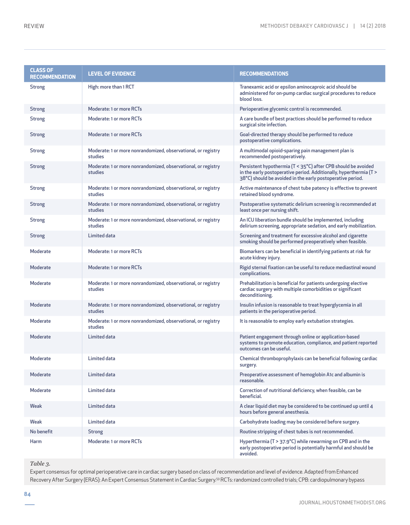| <b>CLASS OF</b><br><b>RECOMMENDATION</b> | <b>LEVEL OF EVIDENCE</b>                                                 | <b>RECOMMENDATIONS</b>                                                                                                                                                                            |
|------------------------------------------|--------------------------------------------------------------------------|---------------------------------------------------------------------------------------------------------------------------------------------------------------------------------------------------|
| <b>Strong</b>                            | High: more than 1 RCT                                                    | Tranexamic acid or epsilon aminocaproic acid should be<br>administered for on-pump cardiac surgical procedures to reduce<br>blood loss.                                                           |
| <b>Strong</b>                            | Moderate: 1 or more RCTs                                                 | Perioperative glycemic control is recommended.                                                                                                                                                    |
| <b>Strong</b>                            | Moderate: 1 or more RCTs                                                 | A care bundle of best practices should be performed to reduce<br>surgical site infection.                                                                                                         |
| <b>Strong</b>                            | Moderate: 1 or more RCTs                                                 | Goal-directed therapy should be performed to reduce<br>postoperative complications.                                                                                                               |
| <b>Strong</b>                            | Moderate: 1 or more nonrandomized, observational, or registry<br>studies | A multimodal opioid-sparing pain management plan is<br>recommended postoperatively.                                                                                                               |
| <b>Strong</b>                            | Moderate: 1 or more nonrandomized, observational, or registry<br>studies | Persistent hypothermia (T < 35°C) after CPB should be avoided<br>in the early postoperative period. Additionally, hyperthermia (T ><br>38°C) should be avoided in the early postoperative period. |
| <b>Strong</b>                            | Moderate: 1 or more nonrandomized, observational, or registry<br>studies | Active maintenance of chest tube patency is effective to prevent<br>retained blood syndrome.                                                                                                      |
| <b>Strong</b>                            | Moderate: 1 or more nonrandomized, observational, or registry<br>studies | Postoperative systematic delirium screening is recommended at<br>least once per nursing shift.                                                                                                    |
| <b>Strong</b>                            | Moderate: 1 or more nonrandomized, observational, or registry<br>studies | An ICU liberation bundle should be implemented, including<br>delirium screening, appropriate sedation, and early mobilization.                                                                    |
| <b>Strong</b>                            | <b>Limited data</b>                                                      | Screening and treatment for excessive alcohol and cigarette<br>smoking should be performed preoperatively when feasible.                                                                          |
| Moderate                                 | Moderate: 1 or more RCTs                                                 | Biomarkers can be beneficial in identifying patients at risk for<br>acute kidney injury.                                                                                                          |
| Moderate                                 | Moderate: 1 or more RCTs                                                 | Rigid sternal fixation can be useful to reduce mediastinal wound<br>complications.                                                                                                                |
| Moderate                                 | Moderate: 1 or more nonrandomized, observational, or registry<br>studies | Prehabilitation is beneficial for patients undergoing elective<br>cardiac surgery with multiple comorbidities or significant<br>deconditioning.                                                   |
| Moderate                                 | Moderate: 1 or more nonrandomized, observational, or registry<br>studies | Insulin infusion is reasonable to treat hyperglycemia in all<br>patients in the perioperative period.                                                                                             |
| Moderate                                 | Moderate: 1 or more nonrandomized, observational, or registry<br>studies | It is reasonable to employ early extubation strategies.                                                                                                                                           |
| Moderate                                 | Limited data                                                             | Patient engagement through online or application-based<br>systems to promote education, compliance, and patient reported<br>outcomes can be useful.                                               |
| Moderate                                 | Limited data                                                             | Chemical thromboprophylaxis can be beneficial following cardiac<br>surgery.                                                                                                                       |
| Moderate                                 | Limited data                                                             | Preoperative assessment of hemoglobin A1c and albumin is<br>reasonable.                                                                                                                           |
| Moderate                                 | Limited data                                                             | Correction of nutritional deficiency, when feasible, can be<br>beneficial.                                                                                                                        |
| Weak                                     | <b>Limited data</b>                                                      | A clear liquid diet may be considered to be continued up until 4<br>hours before general anesthesia.                                                                                              |
| Weak                                     | Limited data                                                             | Carbohydrate loading may be considered before surgery.                                                                                                                                            |
| No benefit                               | <b>Strong</b>                                                            | Routine stripping of chest tubes is not recommended.                                                                                                                                              |
| Harm                                     | Moderate: 1 or more RCTs                                                 | Hyperthermia ( $T > 37.9$ °C) while rewarming on CPB and in the<br>early postoperative period is potentially harmful and should be<br>avoided.                                                    |

*Table 3.* 

Expert consensus for optimal perioperative care in cardiac surgery based on class of recommendation and level of evidence. Adapted from Enhanced Recovery After Surgery (ERAS): An Expert Consensus Statement in Cardiac Surgery.59 RCTs: randomized controlled trials; CPB: cardiopulmonary bypass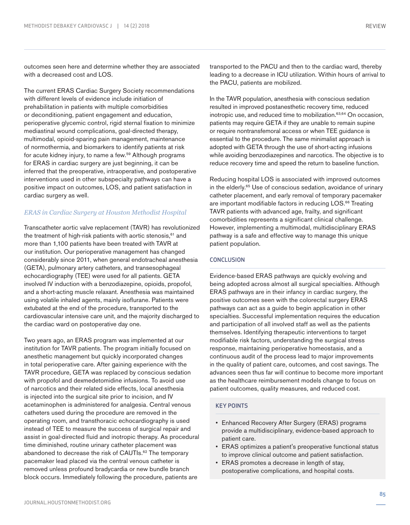with a decreased cost and LOS.

The current ERAS Cardiac Surgery Society recommendations with different levels of evidence include initiation of prehabilitation in patients with multiple comorbidities or deconditioning, patient engagement and education, perioperative glycemic control, rigid sternal fixation to minimize mediastinal wound complications, goal-directed therapy, multimodal, opioid-sparing pain management, maintenance of normothermia, and biomarkers to identify patients at risk for acute kidney injury, to name a few.59 Although programs for ERAS in cardiac surgery are just beginning, it can be inferred that the preoperative, intraoperative, and postoperative interventions used in other subspecialty pathways can have a positive impact on outcomes, LOS, and patient satisfaction in cardiac surgery as well.

# *ERAS in Cardiac Surgery at Houston Methodist Hospital*

Transcatheter aortic valve replacement (TAVR) has revolutionized the treatment of high-risk patients with aortic stenosis, $61$  and more than 1,100 patients have been treated with TAVR at our institution. Our perioperative management has changed considerably since 2011, when general endotracheal anesthesia (GETA), pulmonary artery catheters, and transesophageal echocardiography (TEE) were used for all patients. GETA involved IV induction with a benzodiazepine, opioids, propofol, and a short-acting muscle relaxant. Anesthesia was maintained using volatile inhaled agents, mainly isoflurane. Patients were extubated at the end of the procedure, transported to the cardiovascular intensive care unit, and the majority discharged to the cardiac ward on postoperative day one.

Two years ago, an ERAS program was implemented at our institution for TAVR patients. The program initially focused on anesthetic management but quickly incorporated changes in total perioperative care. After gaining experience with the TAVR procedure, GETA was replaced by conscious sedation with propofol and dexmedetomidine infusions. To avoid use of narcotics and their related side effects, local anesthesia is injected into the surgical site prior to incision, and IV acetaminophen is administered for analgesia. Central venous catheters used during the procedure are removed in the operating room, and transthoracic echocardiography is used instead of TEE to measure the success of surgical repair and assist in goal-directed fluid and inotropic therapy. As procedural time diminished, routine urinary catheter placement was abandoned to decrease the risk of CAUTIs.<sup>62</sup> The temporary pacemaker lead placed via the central venous catheter is removed unless profound bradycardia or new bundle branch block occurs. Immediately following the procedure, patients are

transported to the PACU and then to the cardiac ward, thereby leading to a decrease in ICU utilization. Within hours of arrival to the PACU, patients are mobilized.

In the TAVR population, anesthesia with conscious sedation resulted in improved postanesthetic recovery time, reduced inotropic use, and reduced time to mobilization.<sup>63,64</sup> On occasion, patients may require GETA if they are unable to remain supine or require nontransfemoral access or when TEE guidance is essential to the procedure. The same minimalist approach is adopted with GETA through the use of short-acting infusions while avoiding benzodiazepines and narcotics. The objective is to reduce recovery time and speed the return to baseline function.

Reducing hospital LOS is associated with improved outcomes in the elderly.65 Use of conscious sedation, avoidance of urinary catheter placement, and early removal of temporary pacemaker are important modifiable factors in reducing LOS.<sup>66</sup> Treating TAVR patients with advanced age, frailty, and significant comorbidities represents a significant clinical challenge. However, implementing a multimodal, multidisciplinary ERAS pathway is a safe and effective way to manage this unique patient population.

# **CONCLUSION**

Evidence-based ERAS pathways are quickly evolving and being adopted across almost all surgical specialties. Although ERAS pathways are in their infancy in cardiac surgery, the positive outcomes seen with the colorectal surgery ERAS pathways can act as a guide to begin application in other specialties. Successful implementation requires the education and participation of all involved staff as well as the patients themselves. Identifying therapeutic interventions to target modifiable risk factors, understanding the surgical stress response, maintaining perioperative homeostasis, and a continuous audit of the process lead to major improvements in the quality of patient care, outcomes, and cost savings. The advances seen thus far will continue to become more important as the healthcare reimbursement models change to focus on patient outcomes, quality measures, and reduced cost.

# KEY POINTS

- Enhanced Recovery After Surgery (ERAS) programs provide a multidisciplinary, evidence-based approach to patient care.
- ERAS optimizes a patient's preoperative functional status to improve clinical outcome and patient satisfaction.
- ERAS promotes a decrease in length of stay, postoperative complications, and hospital costs.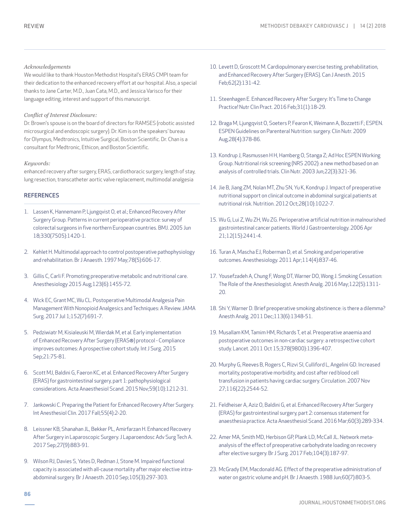# *Acknowledgements*

We would like to thank Houston Methodist Hospital's ERAS CMPI team for their dedication to the enhanced recovery effort at our hospital. Also, a special thanks to Jane Carter, M.D., Juan Cata, M.D., and Jessica Varisco for their language editing, interest and support of this manuscript.

#### *Conflict of Interest Disclosure:*

Dr. Brown's spouse is on the board of directors for RAMSES (robotic assisted microsurgical and endoscopic surgery). Dr. Kim is on the speakers' bureau for Olympus, Medtronics, Intuitive Surgical, Boston Scientific. Dr. Chan is a consultant for Medtronic, Ethicon, and Boston Scientific.

#### *Keywords:*

enhanced recovery after surgery, ERAS, cardiothoracic surgery, length of stay, lung resection, transcatheter aortic valve replacement, multimodal analgesia

## **REFERENCES**

- 1. Lassen K, Hannemann P, Ljungqvist O, et al.; Enhanced Recovery After Surgery Group. Patterns in current perioperative practice: survey of colorectal surgeons in five northern European countries. BMJ. 2005 Jun 18;330(7505):1420-1.
- 2. Kehlet H. Multimodal approach to control postoperative pathophysiology and rehabilitation. Br J Anaesth. 1997 May;78(5):606-17.
- 3. Gillis C, Carli F. Promoting preoperative metabolic and nutritional care. Anesthesiology 2015 Aug;123(6):1455-72.
- 4. Wick EC, Grant MC, Wu CL. Postoperative Multimodal Analgesia Pain Management With Nonopioid Analgesics and Techniques: A Review. JAMA Surg. 2017 Jul 1;152(7):691-7.
- 5. Pedziwiatr M, Kisialeuski M, Wierdak M, et al. Early implementation of Enhanced Recovery After Surgery (ERAS®) protocol - Compliance improves outcomes: A prospective cohort study. Int J Surg. 2015 Sep;21:75-81.
- 6. Scott MJ, Baldini G, Faeron KC, et al. Enhanced Recovery After Surgery (ERAS) for gastrointestinal surgery, part 1: pathophysiological considerations. Acta Anaesthesiol Scand. 2015 Nov;59(10):1212-31.
- 7. Jankowski C. Preparing the Patient for Enhanced Recovery After Surgery. Int Anesthesiol Clin. 2017 Fall;55(4):2-20.
- 8. Leissner KB, Shanahan JL, Bekker PL, Amirfarzan H. Enhanced Recovery After Surgery in Laparoscopic Surgery. J Laparoendosc Adv Surg Tech A. 2017 Sep;27(9):883-91.
- 9. Wilson RJ, Davies S, Yates D, Redman J, Stone M. Impaired functional capacity is associated with all-cause mortality after major elective intraabdominal surgery. Br J Anaesth. 2010 Sep;105(3):297-303.
- 10. Levett D, Groscott M. Cardiopulmonary exercise testing, prehabilitation, and Enhanced Recovery After Surgery (ERAS). Can J Anesth. 2015 Feb;62(2):131-42.
- 11. Steenhagen E. Enhanced Recovery After Surgery: It's Time to Change Practice! Nutr Clin Pract. 2016 Feb;31(1):18-29.
- 12. Braga M, Ljungqvist O, Soeters P, Fearon K, Weimann A, Bozzetti F.; ESPEN. ESPEN Guidelines on Parenteral Nutrition: surgery. Clin Nutr. 2009 Aug;28(4):378-86.
- 13. Kondrup J, Rasmussen H H, Hamberg O, Stanga Z; Ad Hoc ESPEN Working Group. Nutritional risk screening (NRS 2002): a new method based on an analysis of controlled trials. Clin Nutr. 2003 Jun;22(3):321-36.
- 14. Jie B, Jiang ZM, Nolan MT, Zhu SN, Yu K, Kondrup J. Impact of preoperative nutritional support on clinical outcome in abdominal surgical patients at nutritional risk. Nutrition. 2012 Oct;28(10):1022-7.
- 15. Wu G, Lui Z, Wu ZH, Wu ZG. Perioperative artificial nutrition in malnourished gastrointestinal cancer patients. World J Gastroenterology. 2006 Apr 21;12(15):2441-4.
- 16. Turan A, Mascha EJ, Roberman D, et al. Smoking and perioperative outcomes. Anesthesiology. 2011 Apr;114(4):837-46.
- 17. Yousefzadeh A, Chung F, Wong DT, Warner DO, Wong J. Smoking Cessation: The Role of the Anesthesiologist. Anesth Analg. 2016 May;122(5):1311- 20.
- 18. Shi Y, Warner D. Brief preoperative smoking abstinence: is there a dilemma? Anesth Analg. 2011 Dec;113(6):1348-51.
- 19. Musallam KM, Tamim HM, Richards T, et al. Preoperative anaemia and postoperative outcomes in non-cardiac surgery: a retrospective cohort study. Lancet. 2011 Oct 15;378(9800):1396-407.
- 20. Murphy G, Reeves B, Rogers C, Rizvi SI, Culliford L, Angelini GD. Increased mortality, postoperative morbidity, and cost after red blood cell transfusion in patients having cardiac surgery. Circulation. 2007 Nov 27;116(22):2544-52.
- 21. Feldheiser A, Aziz O, Baldini G, et al. Enhanced Recovery After Surgery (ERAS) for gastrointestinal surgery, part 2: consensus statement for anaesthesia practice. Acta Anaesthesiol Scand. 2016 Mar;60(3):289-334.
- 22. Amer MA, Smith MD, Herbison GP, Plank LD, McCall JL. Network metaanalysis of the effect of preoperative carbohydrate loading on recovery after elective surgery. Br J Surg. 2017 Feb;104(3):187-97.
- 23. McGrady EM, Macdonald AG. Effect of the preoperative administration of water on gastric volume and pH. Br J Anaesth. 1988 Jun;60(7):803-5.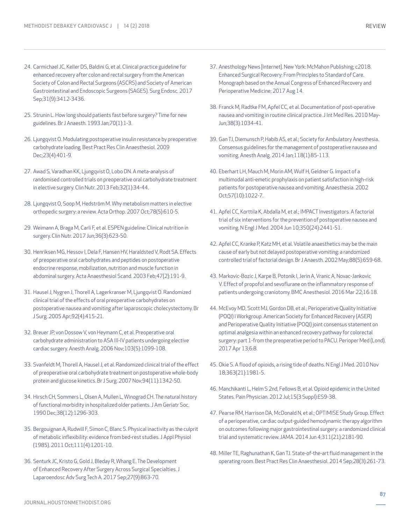- 24. Carmichael JC, Keller DS, Baldini G, et al. Clinical practice guideline for enhanced recovery after colon and rectal surgery from the American Society of Colon and Rectal Surgeons (ASCRS) and Society of American Gastrointestinal and Endoscopic Surgeons (SAGES). Surg Endosc. 2017 Sep;31(9):3412-3436.
- 25. Strunin L. How long should patients fast before surgery? Time for new guidelines. Br J Anaesth. 1993 Jan;70(1):1-3.
- 26. Ljungqvist O. Modulating postoperative insulin resistance by preoperative carbohydrate loading. Best Pract Res Clin Anaesthesiol. 2009 Dec;23(4):401-9.
- 27. Awad S, Varadhan KK, Ljungqvist O, Lobo DN. A meta-analysis of randomised controlled trials on preoperative oral carbohydrate treatment in elective surgery. Clin Nutr. 2013 Feb;32(1):34-44.
- 28. Ljungqvist O, Soop M, Hedström M. Why metabolism matters in elective orthopedic surgery: a review. Acta Orthop. 2007 Oct;78(5):610-5.
- 29. Weimann A, Braga M, Carli F, et al. ESPEN guideline: Clinical nutrition in surgery. Clin Nutr. 2017 Jun;36(3):623-50.
- 30. Henriksen MG, Hessov I, Dela F, Hansen HV, Haraldsted V, Rodt SA. Effects of preoperative oral carbohydrates and peptides on postoperative endocrine response, mobilization, nutrition and muscle function in abdominal surgery. Acta Anaesthesiol Scand. 2003 Feb;47(2):191-9.
- 31. Hausel J, Nygren J, Thorell A, Lagerkranser M, Ljungqvist O. Randomized clinical trial of the effects of oral preoperative carbohydrates on postoperative nausea and vomiting after laparoscopic cholecystectomy. Br J Surg. 2005 Apr;92(4):415-21.
- 32. Breuer JP, von Dossow V, von Heymann C, et al. Preoperative oral carbohydrate administration to ASA III-IV patients undergoing elective cardiac surgery. Anesth Analg. 2006 Nov;103(5):1099-108.
- 33. Svanfeldt M, Thorell A, Hausel J, et al. Randomized clinical trial of the effect of preoperative oral carbohydrate treatment on postoperative whole-body protein and glucose kinetics. Br J Surg. 2007 Nov;94(11):1342-50.
- 34. Hirsch CH, Sommers L, Olsen A, Mullen L, Winograd CH. The natural history of functional morbidity in hospitalized older patients. J Am Geriatr Soc. 1990 Dec;38(12):1296-303.
- 35. Bergouignan A, Rudwill F, Simon C, Blanc S. Physical inactivity as the culprit of metabolic inflexibility: evidence from bed-rest studies. J Appl Physiol (1985). 2011 Oct;111(4):1201-10.
- 36. Senturk JC, Kristo G, Gold J, Bleday R, Whang E. The Development of Enhanced Recovery After Surgery Across Surgical Specialties. J Laparoendosc Adv Surg Tech A. 2017 Sep;27(9):863-70.
- 37. Anesthology News [Internet]. New York: McMahon Publishing; c2018. Enhanced Surgical Recovery: From Principles to Standard of Care. Monograph based on the Annual Congress of Enhanced Recovery and Perioperative Medicine; 2017 Aug 14.
- 38. Franck M, Radtke FM, Apfel CC, et al. Documentation of post-operative nausea and vomiting in routine clinical practice. J Int Med Res. 2010 May-Jun;38(3):1034-41.
- 39. Gan TJ, Diemunsch P, Habib AS, et al.; Society for Ambulatory Anesthesia. Consensus guidelines for the management of postoperative nausea and vomiting. Anesth Analg. 2014 Jan;118(1):85-113.
- 40. Eberhart LH, Mauch M, Morin AM, Wulf H, Geldner G. Impact of a multimodal anti-emetic prophylaxis on patient satisfaction in high-risk patients for postoperative nausea and vomiting. Anaesthesia. 2002 Oct;57(10):1022-7.
- 41. Apfel CC, Korttila K, Abdalla M, et al.; IMPACT Investigators. A factorial trial of six interventions for the prevention of postoperative nausea and vomiting. N Engl J Med. 2004 Jun 10;350(24):2441-51.
- 42. Apfel CC, Kranke P, Katz MH, et al. Volatile anaesthetics may be the main cause of early but not delayed postoperative vomiting: a randomized controlled trial of factorial design. Br J Anaesth. 2002 May;88(5):659-68.
- 43. Markovic-Bozic J, Karpe B, Potonik I, Jerin A, Vranic A, Novac-Jankovic V. Effect of propofol and sevoflurane on the inflammatory response of patients undergoing craniotomy. BMC Anesthesiol. 2016 Mar 22;16:18.
- 44. McEvoy MD, Scott MJ, Gordon DB, et al.; Perioperative Quality Initiative (POQI) I Workgroup. American Society for Enhanced Recovery (ASER) and Perioperative Quality Initiative (POQI) joint consensus statement on optimal analgesia within an enhanced recovery pathway for colorectal surgery: part 1-from the preoperative period to PACU. Perioper Med (Lond). 2017 Apr 13;6:8.
- 45. Okie S. A flood of opioids, a rising tide of deaths. N Engl J Med. 2010 Nov 18;363(21):1981-5.
- 46. Manchikanti L, Helm S 2nd, Fellows B, et al. Opioid epidemic in the United States. Pain Physician. 2012 Jul;15(3 Suppl):ES9-38.
- 47. Pearse RM, Harrison DA, McDonald N, et al.; OPTIMISE Study Group. Effect of a perioperative, cardiac output-guided hemodynamic therapy algorithm on outcomes following major gastrointestinal surgery: a randomized clinical trial and systematic review. JAMA. 2014 Jun 4;311(21):2181-90.
- 48. Miller TE, Raghunathan K, Gan TJ. State-of-the-art fluid management in the operating room. Best Pract Res Clin Anaesthesiol. 2014 Sep;28(3):261-73.